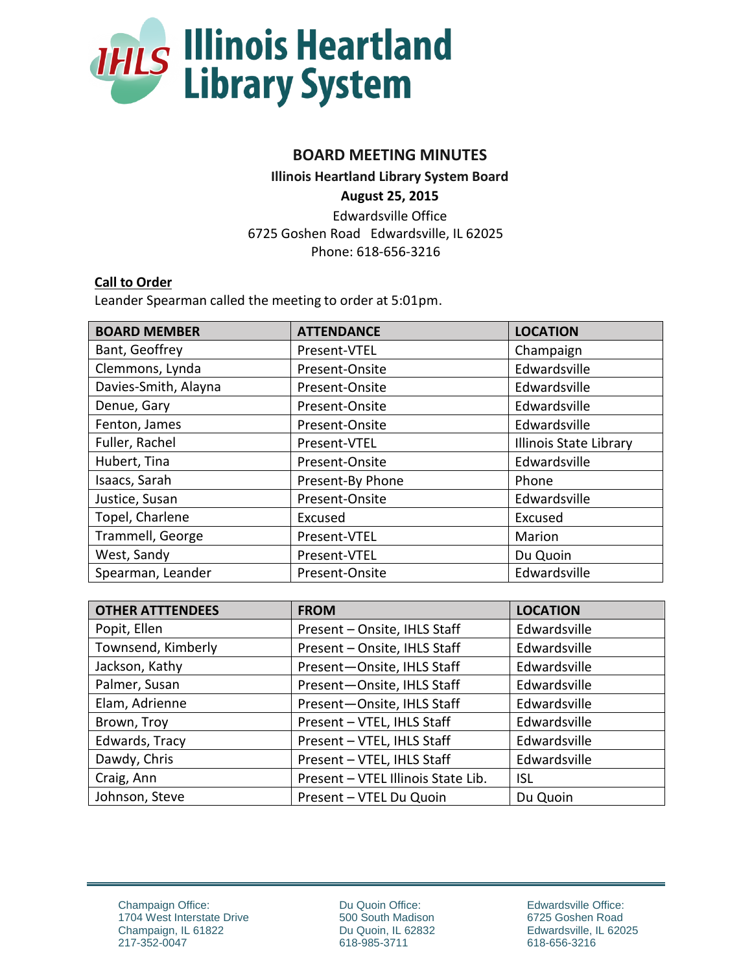

# **BOARD MEETING MINUTES**

**Illinois Heartland Library System Board** 

**August 25, 2015**

Edwardsville Office 6725 Goshen Road Edwardsville, IL 62025 Phone: 618-656-3216

### **Call to Order**

Leander Spearman called the meeting to order at 5:01pm.

| <b>BOARD MEMBER</b>  | <b>ATTENDANCE</b> | <b>LOCATION</b>               |
|----------------------|-------------------|-------------------------------|
| Bant, Geoffrey       | Present-VTEL      | Champaign                     |
| Clemmons, Lynda      | Present-Onsite    | Edwardsville                  |
| Davies-Smith, Alayna | Present-Onsite    | Edwardsville                  |
| Denue, Gary          | Present-Onsite    | Edwardsville                  |
| Fenton, James        | Present-Onsite    | Edwardsville                  |
| Fuller, Rachel       | Present-VTEL      | <b>Illinois State Library</b> |
| Hubert, Tina         | Present-Onsite    | Edwardsville                  |
| Isaacs, Sarah        | Present-By Phone  | Phone                         |
| Justice, Susan       | Present-Onsite    | Edwardsville                  |
| Topel, Charlene      | Excused           | Excused                       |
| Trammell, George     | Present-VTEL      | Marion                        |
| West, Sandy          | Present-VTEL      | Du Quoin                      |
| Spearman, Leander    | Present-Onsite    | Edwardsville                  |

| <b>OTHER ATTTENDEES</b> | <b>FROM</b>                        | <b>LOCATION</b> |
|-------------------------|------------------------------------|-----------------|
| Popit, Ellen            | Present - Onsite, IHLS Staff       | Edwardsville    |
| Townsend, Kimberly      | Present - Onsite, IHLS Staff       | Edwardsville    |
| Jackson, Kathy          | Present-Onsite, IHLS Staff         | Edwardsville    |
| Palmer, Susan           | Present-Onsite, IHLS Staff         | Edwardsville    |
| Elam, Adrienne          | Present-Onsite, IHLS Staff         | Edwardsville    |
| Brown, Troy             | Present - VTEL, IHLS Staff         | Edwardsville    |
| Edwards, Tracy          | Present - VTEL, IHLS Staff         | Edwardsville    |
| Dawdy, Chris            | Present - VTEL, IHLS Staff         | Edwardsville    |
| Craig, Ann              | Present - VTEL Illinois State Lib. | <b>ISL</b>      |
| Johnson, Steve          | Present - VTEL Du Quoin            | Du Quoin        |

Champaign Office: 1704 West Interstate Drive Champaign, IL 61822 217-352-0047

Du Quoin Office: 500 South Madison Du Quoin, IL 62832 618-985-3711

Edwardsville Office: 6725 Goshen Road Edwardsville, IL 62025 618-656-3216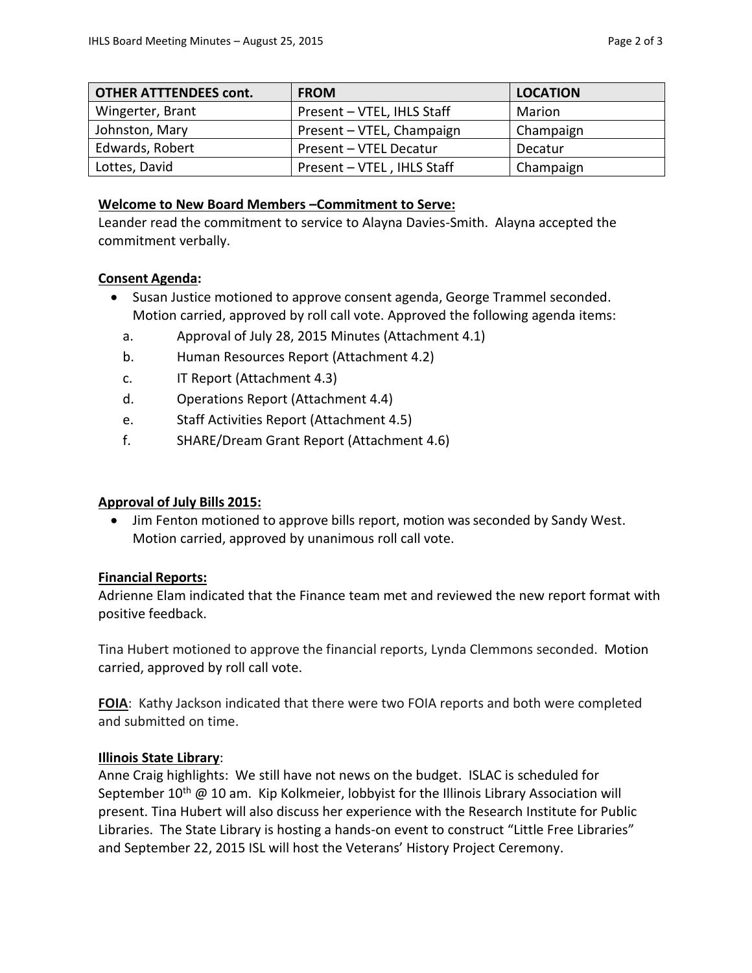| <b>OTHER ATTTENDEES cont.</b> | <b>FROM</b>                | <b>LOCATION</b> |
|-------------------------------|----------------------------|-----------------|
| Wingerter, Brant              | Present - VTEL, IHLS Staff | Marion          |
| Johnston, Mary                | Present - VTEL, Champaign  | Champaign       |
| Edwards, Robert               | Present - VTEL Decatur     | Decatur         |
| Lottes, David                 | Present - VTEL, IHLS Staff | Champaign       |

#### **Welcome to New Board Members –Commitment to Serve:**

Leander read the commitment to service to Alayna Davies-Smith. Alayna accepted the commitment verbally.

#### **Consent Agenda:**

- Susan Justice motioned to approve consent agenda, George Trammel seconded. Motion carried, approved by roll call vote. Approved the following agenda items:
	- a. Approval of July 28, 2015 Minutes (Attachment 4.1)
	- b. Human Resources Report (Attachment 4.2)
	- c. IT Report (Attachment 4.3)
	- d. Operations Report (Attachment 4.4)
	- e. Staff Activities Report (Attachment 4.5)
	- f. SHARE/Dream Grant Report (Attachment 4.6)

### **Approval of July Bills 2015:**

 Jim Fenton motioned to approve bills report, motion was seconded by Sandy West. Motion carried, approved by unanimous roll call vote.

### **Financial Reports:**

Adrienne Elam indicated that the Finance team met and reviewed the new report format with positive feedback.

Tina Hubert motioned to approve the financial reports, Lynda Clemmons seconded. Motion carried, approved by roll call vote.

**FOIA**: Kathy Jackson indicated that there were two FOIA reports and both were completed and submitted on time.

### **Illinois State Library**:

Anne Craig highlights: We still have not news on the budget. ISLAC is scheduled for September  $10^{th}$  @ 10 am. Kip Kolkmeier, lobbyist for the Illinois Library Association will present. Tina Hubert will also discuss her experience with the Research Institute for Public Libraries. The State Library is hosting a hands-on event to construct "Little Free Libraries" and September 22, 2015 ISL will host the Veterans' History Project Ceremony.